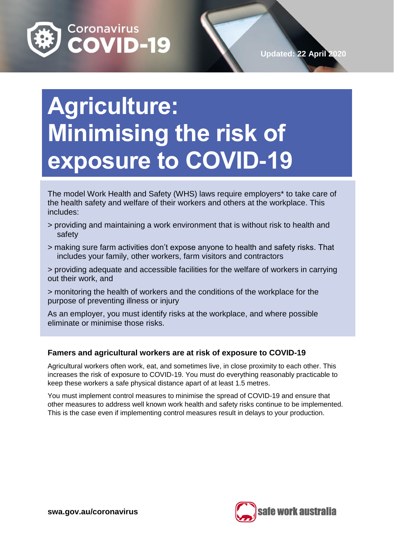

# **Agriculture: Minimising the risk of exposure to COVID-19**

The model Work Health and Safety (WHS) laws require employers\* to take care of the health safety and welfare of their workers and others at the workplace. This includes:

- > providing and maintaining a work environment that is without risk to health and safety
- > making sure farm activities don't expose anyone to health and safety risks. That includes your family, other workers, farm visitors and contractors

> providing adequate and accessible facilities for the welfare of workers in carrying out their work, and

> monitoring the health of workers and the conditions of the workplace for the purpose of preventing illness or injury

As an employer, you must identify risks at the workplace, and where possible eliminate or minimise those risks.

# **Famers and agricultural workers are at risk of exposure to COVID-19**

Agricultural workers often work, eat, and sometimes live, in close proximity to each other. This increases the risk of exposure to COVID-19. You must do everything reasonably practicable to keep these workers a safe physical distance apart of at least 1.5 metres.

You must implement control measures to minimise the spread of COVID-19 and ensure that other measures to address well known work health and safety risks continue to be implemented. This is the case even if implementing control measures result in delays to your production.

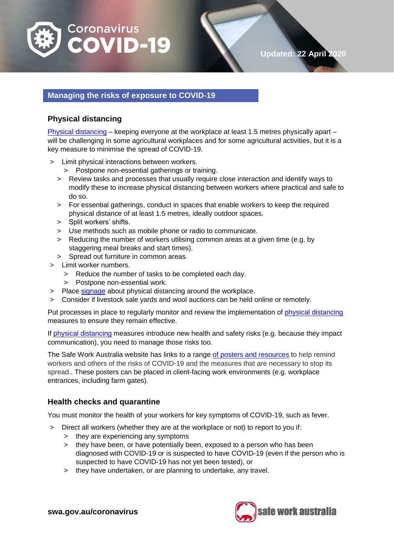

# **Managing the risks of exposure to COVID-19**

# **Physical distancing**

[Physical distancing](https://www.health.gov.au/news/health-alerts/novel-coronavirus-2019-ncov-health-alert/how-to-protect-yourself-and-others-from-coronavirus-covid-19/social-distancing-for-coronavirus-covid-19) – keeping everyone at the workplace at least 1.5 metres physically apart – will be challenging in some agricultural workplaces and for some agricultural activities, but it is a key measure to minimise the spread of COVID-19.

- > Limit physical interactions between workers.
	- > Postpone non-essential gatherings or training.
	- > Review tasks and processes that usually require close interaction and identify ways to modify these to increase physical distancing between workers where practical and safe to do so.
	- > For essential gatherings, conduct in spaces that enable workers to keep the required physical distance of at least 1.5 metres, ideally outdoor spaces.
	- > Split workers' shifts.
	- > Use methods such as mobile phone or radio to communicate.
	- > Reducing the number of workers utilising common areas at a given time (e.g. by staggering meal breaks and start times).
	- > Spread out furniture in common areas.
- > Limit worker numbers.
	- > Reduce the number of tasks to be completed each day.
	- > Postpone non-essential work.
- > Place [signage](https://www.health.gov.au/resources/collections/coronavirus-covid-19-campaign-resources) about physical distancing around the workplace.
- > Consider if livestock sale yards and wool auctions can be held online or remotely.

Put processes in place to regularly monitor and review the implementation of physical [distancing](https://www.health.gov.au/news/health-alerts/novel-coronavirus-2019-ncov-health-alert/how-to-protect-yourself-and-others-from-coronavirus-covid-19/social-distancing-for-coronavirus-covid-19) measures to ensure they remain effective.

If [physical distancing](https://www.health.gov.au/news/health-alerts/novel-coronavirus-2019-ncov-health-alert/how-to-protect-yourself-and-others-from-coronavirus-covid-19/social-distancing-for-coronavirus-covid-19) measures introduce new health and safety risks (e.g. because they impact communication), you need to manage those risks too.

The Safe Work Australia website has links to a range of [posters and resources](https://www.safeworkaustralia.gov.au/doc/signage-and-posters-covid-19) to help remind workers and others of the risks of COVID-19 and the measures that are necessary to stop its spread.. These posters can be placed in client-facing work environments (e.g. workplace entrances, including farm gates).

# **Health checks and quarantine**

You must monitor the health of your workers for key symptoms of COVID-19, such as fever.

- > Direct all workers (whether they are at the workplace or not) to report to you if:
	- > they are experiencing any symptoms
	- > they have been, or have potentially been, exposed to a person who has been diagnosed with COVID-19 or is suspected to have COVID-19 (even if the person who is suspected to have COVID-19 has not yet been tested), or
	- > they have undertaken, or are planning to undertake, any travel.

**swa.gov.au/coronavirus**



**Updated: 22 April 2020**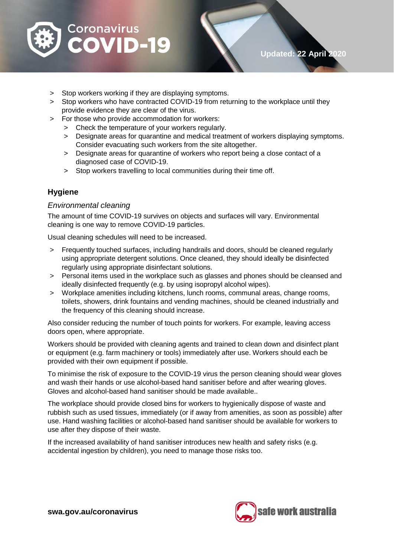

- > Stop workers working if they are displaying symptoms.
- > Stop workers who have contracted COVID-19 from returning to the workplace until they provide evidence they are clear of the virus.
- > For those who provide accommodation for workers:
	- > Check the temperature of your workers regularly.
	- > Designate areas for quarantine and medical treatment of workers displaying symptoms. Consider evacuating such workers from the site altogether.
	- > Designate areas for quarantine of workers who report being a close contact of a diagnosed case of COVID-19.
	- > Stop workers travelling to local communities during their time off.

# **Hygiene**

#### *Environmental cleaning*

The amount of time COVID-19 survives on objects and surfaces will vary. Environmental cleaning is one way to remove COVID-19 particles.

Usual cleaning schedules will need to be increased.

- > Frequently touched surfaces, including handrails and doors, should be cleaned regularly using appropriate detergent solutions. Once cleaned, they should ideally be disinfected regularly using appropriate disinfectant solutions.
- > Personal items used in the workplace such as glasses and phones should be cleansed and ideally disinfected frequently (e.g. by using isopropyl alcohol wipes).
- > Workplace amenities including kitchens, lunch rooms, communal areas, change rooms, toilets, showers, drink fountains and vending machines, should be cleaned industrially and the frequency of this cleaning should increase.

Also consider reducing the number of touch points for workers. For example, leaving access doors open, where appropriate.

Workers should be provided with cleaning agents and trained to clean down and disinfect plant or equipment (e.g. farm machinery or tools) immediately after use. Workers should each be provided with their own equipment if possible.

To minimise the risk of exposure to the COVID-19 virus the person cleaning should wear gloves and wash their hands or use alcohol-based hand sanitiser before and after wearing gloves. Gloves and alcohol-based hand sanitiser should be made available..

The workplace should provide closed bins for workers to hygienically dispose of waste and rubbish such as used tissues, immediately (or if away from amenities, as soon as possible) after use. Hand washing facilities or alcohol-based hand sanitiser should be available for workers to use after they dispose of their waste.

If the increased availability of hand sanitiser introduces new health and safety risks (e.g. accidental ingestion by children), you need to manage those risks too.

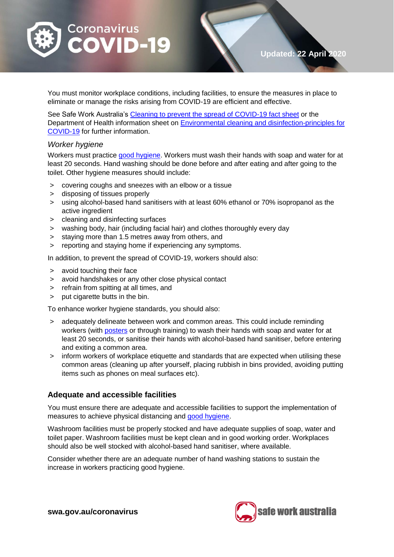

**Updated: 22 April 2020**

You must monitor workplace conditions, including facilities, to ensure the measures in place to eliminate or manage the risks arising from COVID-19 are efficient and effective.

See Safe Work Australia's [Cleaning to prevent the spread of COVID-19 fact sheet](https://www.safeworkaustralia.gov.au/doc/cleaning-prevent-spread-covid-19-fact-sheet) or the Department of Health information sheet on [Environmental cleaning and disinfection-principles for](https://www.health.gov.au/sites/default/files/documents/2020/03/environmental-cleaning-and-disinfection-principles-for-covid-19.pdf)  [COVID-19](https://www.health.gov.au/sites/default/files/documents/2020/03/environmental-cleaning-and-disinfection-principles-for-covid-19.pdf) for further information.

#### *Worker hygiene*

Workers must practice [good hygiene.](https://www.health.gov.au/news/health-alerts/novel-coronavirus-2019-ncov-health-alert/how-to-protect-yourself-and-others-from-coronavirus-covid-19/good-hygiene-for-coronavirus-covid-19) Workers must wash their hands with soap and water for at least 20 seconds. Hand washing should be done before and after eating and after going to the toilet. Other hygiene measures should include:

- > covering coughs and sneezes with an elbow or a tissue
- > disposing of tissues properly
- > using alcohol-based hand sanitisers with at least 60% ethanol or 70% isopropanol as the active ingredient
- > cleaning and disinfecting surfaces
- > washing body, hair (including facial hair) and clothes thoroughly every day
- > staying more than 1.5 metres away from others, and
- > reporting and staying home if experiencing any symptoms.

In addition, to prevent the spread of COVID-19, workers should also:

- > avoid touching their face
- > avoid handshakes or any other close physical contact
- > refrain from spitting at all times, and
- > put cigarette butts in the bin.

To enhance worker hygiene standards, you should also:

- > adequately delineate between work and common areas. This could include reminding workers (with [posters](https://www.safeworkaustralia.gov.au/doc/signage-and-posters-covid-19) or through training) to wash their hands with soap and water for at least 20 seconds, or sanitise their hands with alcohol-based hand sanitiser, before entering and exiting a common area.
- > inform workers of workplace etiquette and standards that are expected when utilising these common areas (cleaning up after yourself, placing rubbish in bins provided, avoiding putting items such as phones on meal surfaces etc).

#### **Adequate and accessible facilities**

You must ensure there are adequate and accessible facilities to support the implementation of measures to achieve physical distancing and [good hygiene.](https://www.health.gov.au/news/health-alerts/novel-coronavirus-2019-ncov-health-alert/how-to-protect-yourself-and-others-from-coronavirus-covid-19/good-hygiene-for-coronavirus-covid-19)

Washroom facilities must be properly stocked and have adequate supplies of soap, water and toilet paper. Washroom facilities must be kept clean and in good working order. Workplaces should also be well stocked with alcohol-based hand sanitiser, where available.

Consider whether there are an adequate number of hand washing stations to sustain the increase in workers practicing good hygiene.

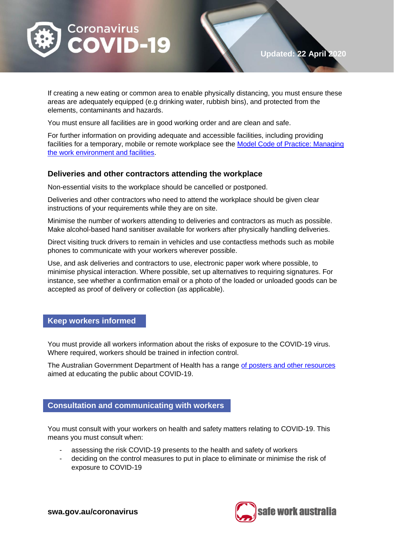

If creating a new eating or common area to enable physically distancing, you must ensure these areas are adequately equipped (e.g drinking water, rubbish bins), and protected from the elements, contaminants and hazards.

You must ensure all facilities are in good working order and are clean and safe.

For further information on providing adequate and accessible facilities, including providing facilities for a temporary, mobile or remote workplace see the [Model Code of Practice: Managing](https://www.safeworkaustralia.gov.au/system/files/documents/1901/code_of_practice_-_managing_the_work_environment_and_facilities.pdf)  [the work environment and facilities.](https://www.safeworkaustralia.gov.au/system/files/documents/1901/code_of_practice_-_managing_the_work_environment_and_facilities.pdf)

#### **Deliveries and other contractors attending the workplace**

Non-essential visits to the workplace should be cancelled or postponed.

Deliveries and other contractors who need to attend the workplace should be given clear instructions of your requirements while they are on site.

Minimise the number of workers attending to deliveries and contractors as much as possible. Make alcohol-based hand sanitiser available for workers after physically handling deliveries.

Direct visiting truck drivers to remain in vehicles and use contactless methods such as mobile phones to communicate with your workers wherever possible.

Use, and ask deliveries and contractors to use, electronic paper work where possible, to minimise physical interaction. Where possible, set up alternatives to requiring signatures. For instance, see whether a confirmation email or a photo of the loaded or unloaded goods can be accepted as proof of delivery or collection (as applicable).

#### **Keep workers informed**

You must provide all workers information about the risks of exposure to the COVID-19 virus. Where required, workers should be trained in infection control.

The Australian Government Department of Health has a range [of posters and other resources](https://www.health.gov.au/resources/publications?f%5B0%5D=field_publication_type%3A2181) aimed at educating the public about COVID-19.

#### **Consultation and communicating with workers**

You must consult with your workers on health and safety matters relating to COVID-19. This means you must consult when:

- assessing the risk COVID-19 presents to the health and safety of workers
- deciding on the control measures to put in place to eliminate or minimise the risk of exposure to COVID-19

**swa.gov.au/coronavirus**



**Updated: 22 April 2020**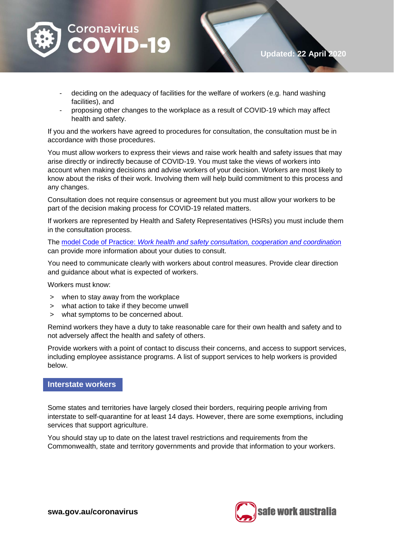

- deciding on the adequacy of facilities for the welfare of workers (e.g. hand washing facilities), and
- proposing other changes to the workplace as a result of COVID-19 which may affect health and safety.

If you and the workers have agreed to procedures for consultation, the consultation must be in accordance with those procedures.

You must allow workers to express their views and raise work health and safety issues that may arise directly or indirectly because of COVID-19. You must take the views of workers into account when making decisions and advise workers of your decision. Workers are most likely to know about the risks of their work. Involving them will help build commitment to this process and any changes.

Consultation does not require consensus or agreement but you must allow your workers to be part of the decision making process for COVID-19 related matters.

If workers are represented by Health and Safety Representatives (HSRs) you must include them in the consultation process.

The model Code of Practice: *[Work health and safety consultation, cooperation and coordinatio](https://www.safeworkaustralia.gov.au/doc/model-code-practice-work-health-and-safety-consultation-cooperation-and-coordination)*n can provide more information about your duties to consult.

You need to communicate clearly with workers about control measures. Provide clear direction and guidance about what is expected of workers.

Workers must know:

- > when to stay away from the workplace
- > what action to take if they become unwell
- > what symptoms to be concerned about.

Remind workers they have a duty to take reasonable care for their own health and safety and to not adversely affect the health and safety of others.

Provide workers with a point of contact to discuss their concerns, and access to support services, including employee assistance programs. A list of support services to help workers is provided below.

#### **Interstate workers**

Some states and territories have largely closed their borders, requiring people arriving from interstate to self-quarantine for at least 14 days. However, there are some exemptions, including services that support agriculture.

You should stay up to date on the latest travel restrictions and requirements from the Commonwealth, state and territory governments and provide that information to your workers.



**Updated: 22 April 2020**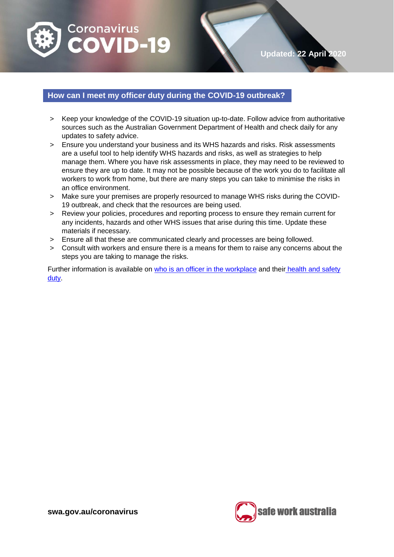

# **Updated: 22 April 2020**

### **How can I meet my officer duty during the COVID-19 outbreak?**

- > Keep your knowledge of the COVID-19 situation up-to-date. Follow advice from authoritative sources such as the Australian Government Department of Health and check daily for any updates to safety advice.
- > Ensure you understand your business and its WHS hazards and risks. Risk assessments are a useful tool to help identify WHS hazards and risks, as well as strategies to help manage them. Where you have risk assessments in place, they may need to be reviewed to ensure they are up to date. It may not be possible because of the work you do to facilitate all workers to work from home, but there are many steps you can take to minimise the risks in an office environment.
- > Make sure your premises are properly resourced to manage [WHS](https://www.safeworkaustralia.gov.au/glossary#WHS) [risks](https://www.safeworkaustralia.gov.au/glossary#risks) during the COVID-19 outbreak, and check that the resources are being used.
- > Review your policies, procedures and reporting process to ensure they remain current for any incidents, [hazards](https://www.safeworkaustralia.gov.au/glossary#hazards) and other [WHS](https://www.safeworkaustralia.gov.au/glossary#WHS) issues that arise during this time. Update these materials if necessary.
- > Ensure all that these are communicated clearly and processes are being followed.
- > Consult with workers and ensure there is a means for them to raise any concerns about the steps you are taking to manage the risks.

Further information is available on [who is an officer](https://www.safeworkaustralia.gov.au/doc/who-is-an-officer) in the workplace and their [health and safety](https://www.safeworkaustralia.gov.au/doc/health-and-safety-duty-officer)  [duty.](https://www.safeworkaustralia.gov.au/doc/health-and-safety-duty-officer)